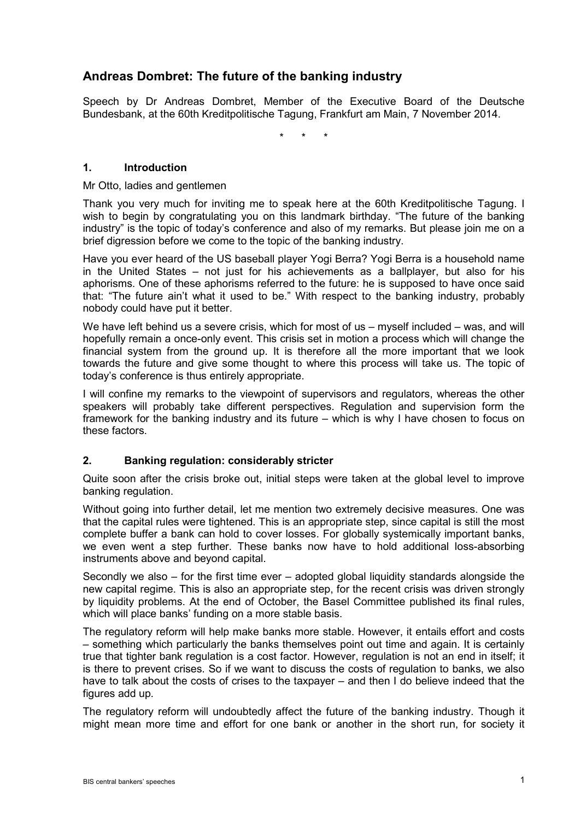# **Andreas Dombret: The future of the banking industry**

Speech by Dr Andreas Dombret, Member of the Executive Board of the Deutsche Bundesbank, at the 60th Kreditpolitische Tagung, Frankfurt am Main, 7 November 2014.

\* \* \*

## **1. Introduction**

Mr Otto, ladies and gentlemen

Thank you very much for inviting me to speak here at the 60th Kreditpolitische Tagung. I wish to begin by congratulating you on this landmark birthday. "The future of the banking industry" is the topic of today's conference and also of my remarks. But please join me on a brief digression before we come to the topic of the banking industry.

Have you ever heard of the US baseball player Yogi Berra? Yogi Berra is a household name in the United States – not just for his achievements as a ballplayer, but also for his aphorisms. One of these aphorisms referred to the future: he is supposed to have once said that: "The future ain't what it used to be." With respect to the banking industry, probably nobody could have put it better.

We have left behind us a severe crisis, which for most of us – myself included – was, and will hopefully remain a once-only event. This crisis set in motion a process which will change the financial system from the ground up. It is therefore all the more important that we look towards the future and give some thought to where this process will take us. The topic of today's conference is thus entirely appropriate.

I will confine my remarks to the viewpoint of supervisors and regulators, whereas the other speakers will probably take different perspectives. Regulation and supervision form the framework for the banking industry and its future – which is why I have chosen to focus on these factors.

## **2. Banking regulation: considerably stricter**

Quite soon after the crisis broke out, initial steps were taken at the global level to improve banking regulation.

Without going into further detail, let me mention two extremely decisive measures. One was that the capital rules were tightened. This is an appropriate step, since capital is still the most complete buffer a bank can hold to cover losses. For globally systemically important banks, we even went a step further. These banks now have to hold additional loss-absorbing instruments above and beyond capital.

Secondly we also – for the first time ever – adopted global liquidity standards alongside the new capital regime. This is also an appropriate step, for the recent crisis was driven strongly by liquidity problems. At the end of October, the Basel Committee published its final rules, which will place banks' funding on a more stable basis.

The regulatory reform will help make banks more stable. However, it entails effort and costs – something which particularly the banks themselves point out time and again. It is certainly true that tighter bank regulation is a cost factor. However, regulation is not an end in itself; it is there to prevent crises. So if we want to discuss the costs of regulation to banks, we also have to talk about the costs of crises to the taxpayer – and then I do believe indeed that the figures add up.

The regulatory reform will undoubtedly affect the future of the banking industry. Though it might mean more time and effort for one bank or another in the short run, for society it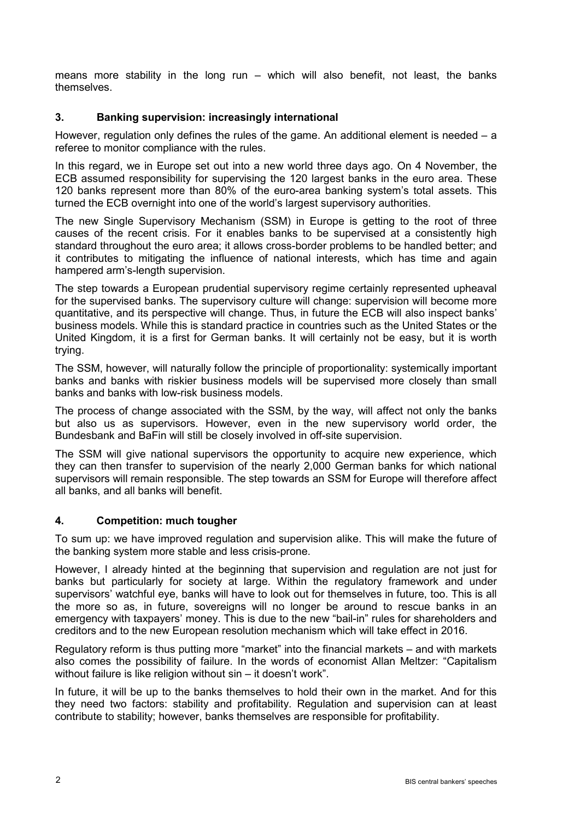means more stability in the long run – which will also benefit, not least, the banks themselves.

## **3. Banking supervision: increasingly international**

However, regulation only defines the rules of the game. An additional element is needed  $- a$ referee to monitor compliance with the rules.

In this regard, we in Europe set out into a new world three days ago. On 4 November, the ECB assumed responsibility for supervising the 120 largest banks in the euro area. These 120 banks represent more than 80% of the euro-area banking system's total assets. This turned the ECB overnight into one of the world's largest supervisory authorities.

The new Single Supervisory Mechanism (SSM) in Europe is getting to the root of three causes of the recent crisis. For it enables banks to be supervised at a consistently high standard throughout the euro area; it allows cross-border problems to be handled better; and it contributes to mitigating the influence of national interests, which has time and again hampered arm's-length supervision.

The step towards a European prudential supervisory regime certainly represented upheaval for the supervised banks. The supervisory culture will change: supervision will become more quantitative, and its perspective will change. Thus, in future the ECB will also inspect banks' business models. While this is standard practice in countries such as the United States or the United Kingdom, it is a first for German banks. It will certainly not be easy, but it is worth trying.

The SSM, however, will naturally follow the principle of proportionality: systemically important banks and banks with riskier business models will be supervised more closely than small banks and banks with low-risk business models.

The process of change associated with the SSM, by the way, will affect not only the banks but also us as supervisors. However, even in the new supervisory world order, the Bundesbank and BaFin will still be closely involved in off-site supervision.

The SSM will give national supervisors the opportunity to acquire new experience, which they can then transfer to supervision of the nearly 2,000 German banks for which national supervisors will remain responsible. The step towards an SSM for Europe will therefore affect all banks, and all banks will benefit.

## **4. Competition: much tougher**

To sum up: we have improved regulation and supervision alike. This will make the future of the banking system more stable and less crisis-prone.

However, I already hinted at the beginning that supervision and regulation are not just for banks but particularly for society at large. Within the regulatory framework and under supervisors' watchful eye, banks will have to look out for themselves in future, too. This is all the more so as, in future, sovereigns will no longer be around to rescue banks in an emergency with taxpayers' money. This is due to the new "bail-in" rules for shareholders and creditors and to the new European resolution mechanism which will take effect in 2016.

Regulatory reform is thus putting more "market" into the financial markets – and with markets also comes the possibility of failure. In the words of economist Allan Meltzer: "Capitalism without failure is like religion without sin – it doesn't work".

In future, it will be up to the banks themselves to hold their own in the market. And for this they need two factors: stability and profitability. Regulation and supervision can at least contribute to stability; however, banks themselves are responsible for profitability.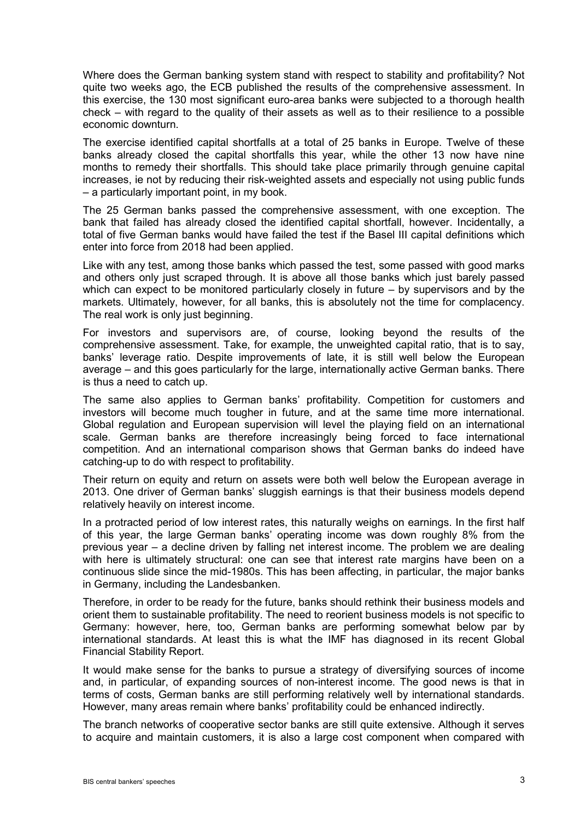Where does the German banking system stand with respect to stability and profitability? Not quite two weeks ago, the ECB published the results of the comprehensive assessment. In this exercise, the 130 most significant euro-area banks were subjected to a thorough health check – with regard to the quality of their assets as well as to their resilience to a possible economic downturn.

The exercise identified capital shortfalls at a total of 25 banks in Europe. Twelve of these banks already closed the capital shortfalls this year, while the other 13 now have nine months to remedy their shortfalls. This should take place primarily through genuine capital increases, ie not by reducing their risk-weighted assets and especially not using public funds – a particularly important point, in my book.

The 25 German banks passed the comprehensive assessment, with one exception. The bank that failed has already closed the identified capital shortfall, however. Incidentally, a total of five German banks would have failed the test if the Basel III capital definitions which enter into force from 2018 had been applied.

Like with any test, among those banks which passed the test, some passed with good marks and others only just scraped through. It is above all those banks which just barely passed which can expect to be monitored particularly closely in future – by supervisors and by the markets. Ultimately, however, for all banks, this is absolutely not the time for complacency. The real work is only just beginning.

For investors and supervisors are, of course, looking beyond the results of the comprehensive assessment. Take, for example, the unweighted capital ratio, that is to say, banks' leverage ratio. Despite improvements of late, it is still well below the European average – and this goes particularly for the large, internationally active German banks. There is thus a need to catch up.

The same also applies to German banks' profitability. Competition for customers and investors will become much tougher in future, and at the same time more international. Global regulation and European supervision will level the playing field on an international scale. German banks are therefore increasingly being forced to face international competition. And an international comparison shows that German banks do indeed have catching-up to do with respect to profitability.

Their return on equity and return on assets were both well below the European average in 2013. One driver of German banks' sluggish earnings is that their business models depend relatively heavily on interest income.

In a protracted period of low interest rates, this naturally weighs on earnings. In the first half of this year, the large German banks' operating income was down roughly 8% from the previous year – a decline driven by falling net interest income. The problem we are dealing with here is ultimately structural: one can see that interest rate margins have been on a continuous slide since the mid-1980s. This has been affecting, in particular, the major banks in Germany, including the Landesbanken.

Therefore, in order to be ready for the future, banks should rethink their business models and orient them to sustainable profitability. The need to reorient business models is not specific to Germany: however, here, too, German banks are performing somewhat below par by international standards. At least this is what the IMF has diagnosed in its recent Global Financial Stability Report.

It would make sense for the banks to pursue a strategy of diversifying sources of income and, in particular, of expanding sources of non-interest income. The good news is that in terms of costs, German banks are still performing relatively well by international standards. However, many areas remain where banks' profitability could be enhanced indirectly.

The branch networks of cooperative sector banks are still quite extensive. Although it serves to acquire and maintain customers, it is also a large cost component when compared with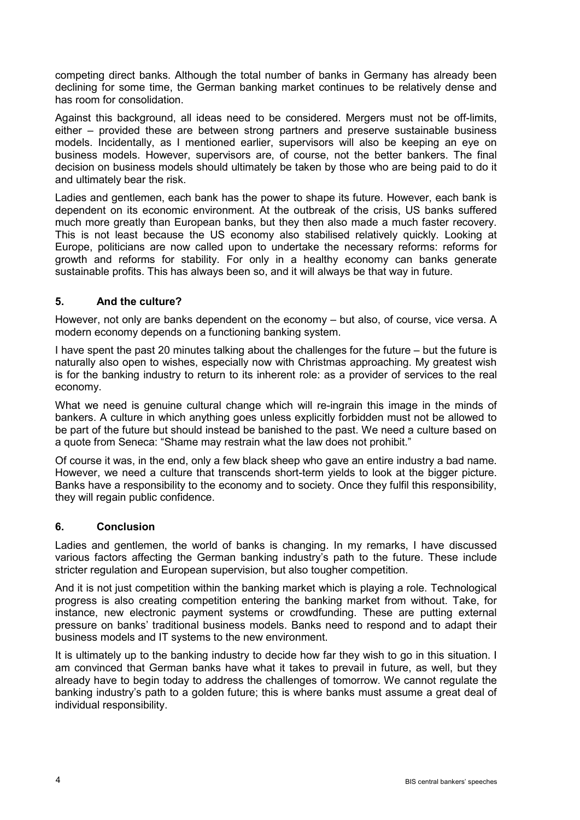competing direct banks. Although the total number of banks in Germany has already been declining for some time, the German banking market continues to be relatively dense and has room for consolidation.

Against this background, all ideas need to be considered. Mergers must not be off-limits, either – provided these are between strong partners and preserve sustainable business models. Incidentally, as I mentioned earlier, supervisors will also be keeping an eye on business models. However, supervisors are, of course, not the better bankers. The final decision on business models should ultimately be taken by those who are being paid to do it and ultimately bear the risk.

Ladies and gentlemen, each bank has the power to shape its future. However, each bank is dependent on its economic environment. At the outbreak of the crisis, US banks suffered much more greatly than European banks, but they then also made a much faster recovery. This is not least because the US economy also stabilised relatively quickly. Looking at Europe, politicians are now called upon to undertake the necessary reforms: reforms for growth and reforms for stability. For only in a healthy economy can banks generate sustainable profits. This has always been so, and it will always be that way in future.

## **5. And the culture?**

However, not only are banks dependent on the economy – but also, of course, vice versa. A modern economy depends on a functioning banking system.

I have spent the past 20 minutes talking about the challenges for the future – but the future is naturally also open to wishes, especially now with Christmas approaching. My greatest wish is for the banking industry to return to its inherent role: as a provider of services to the real economy.

What we need is genuine cultural change which will re-ingrain this image in the minds of bankers. A culture in which anything goes unless explicitly forbidden must not be allowed to be part of the future but should instead be banished to the past. We need a culture based on a quote from Seneca: "Shame may restrain what the law does not prohibit."

Of course it was, in the end, only a few black sheep who gave an entire industry a bad name. However, we need a culture that transcends short-term yields to look at the bigger picture. Banks have a responsibility to the economy and to society. Once they fulfil this responsibility, they will regain public confidence.

## **6. Conclusion**

Ladies and gentlemen, the world of banks is changing. In my remarks, I have discussed various factors affecting the German banking industry's path to the future. These include stricter regulation and European supervision, but also tougher competition.

And it is not just competition within the banking market which is playing a role. Technological progress is also creating competition entering the banking market from without. Take, for instance, new electronic payment systems or crowdfunding. These are putting external pressure on banks' traditional business models. Banks need to respond and to adapt their business models and IT systems to the new environment.

It is ultimately up to the banking industry to decide how far they wish to go in this situation. I am convinced that German banks have what it takes to prevail in future, as well, but they already have to begin today to address the challenges of tomorrow. We cannot regulate the banking industry's path to a golden future; this is where banks must assume a great deal of individual responsibility.